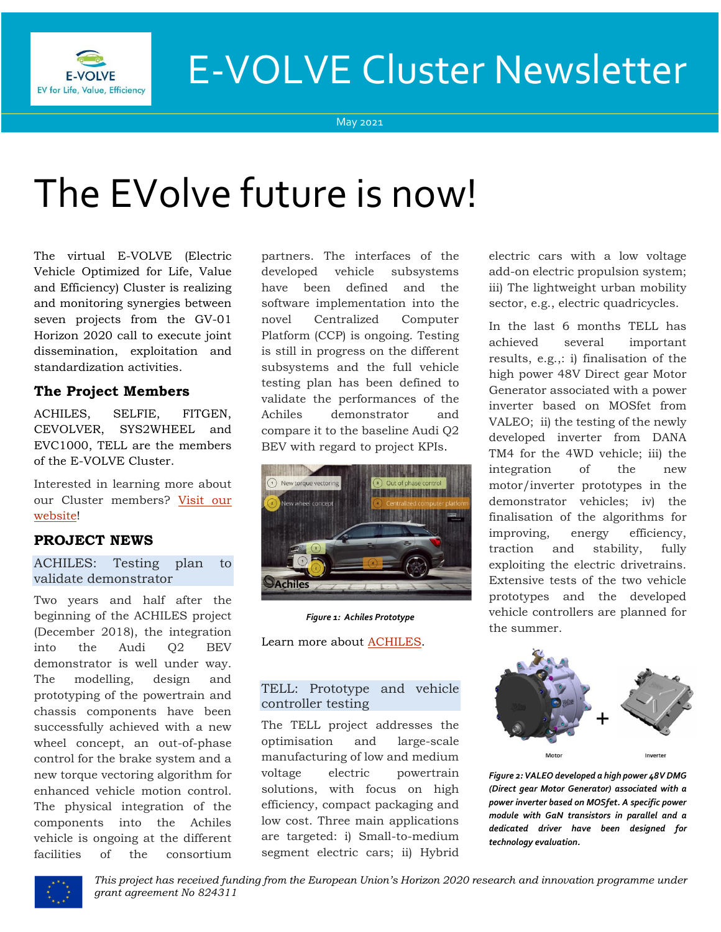

# E-VOLVE Cluster Newsletter

#### May 2021

# The EVolve future is now!

The virtual E-VOLVE (Electric Vehicle Optimized for Life, Value and Efficiency) Cluster is realizing and monitoring synergies between seven projects from the GV-01 Horizon 2020 call to execute joint dissemination, exploitation and standardization activities.

## **The Project Members**

ACHILES, SELFIE, FITGEN, CEVOLVER, SYS2WHEEL and EVC1000, TELL are the members of the E-VOLVE Cluster.

Interested in learning more about our Cluster members? [Visit our](https://www.h2020-evolvecluster.eu/project-members)  [website!](https://www.h2020-evolvecluster.eu/project-members)

## **PROJECT NEWS**

ACHILES: Testing plan to validate demonstrator

Two years and half after the beginning of the ACHILES project (December 2018), the integration into the Audi Q2 BEV demonstrator is well under way. The modelling, design and prototyping of the powertrain and chassis components have been successfully achieved with a new wheel concept, an out-of-phase control for the brake system and a new torque vectoring algorithm for enhanced vehicle motion control. The physical integration of the components into the Achiles vehicle is ongoing at the different facilities of the consortium partners. The interfaces of the developed vehicle subsystems have been defined and the software implementation into the novel Centralized Computer Platform (CCP) is ongoing. Testing is still in progress on the different subsystems and the full vehicle testing plan has been defined to validate the performances of the Achiles demonstrator and compare it to the baseline Audi Q2 BEV with regard to project KPIs.



*Figure 1: Achiles Prototype*

Learn more about [ACHILES.](https://www.h2020-achiles.eu/)

#### TELL: Prototype and vehicle controller testing

The TELL project addresses the optimisation and large-scale manufacturing of low and medium voltage electric powertrain solutions, with focus on high efficiency, compact packaging and low cost. Three main applications are targeted: i) Small-to-medium segment electric cars; ii) Hybrid electric cars with a low voltage add-on electric propulsion system; iii) The lightweight urban mobility sector, e.g., electric quadricycles.

In the last 6 months TELL has achieved several important results, e.g.,: i) finalisation of the high power 48V Direct gear Motor Generator associated with a power inverter based on MOSfet from VALEO; ii) the testing of the newly developed inverter from DANA TM4 for the 4WD vehicle; iii) the integration of the new motor/inverter prototypes in the demonstrator vehicles; iv) the finalisation of the algorithms for improving, energy efficiency, traction and stability, fully exploiting the electric drivetrains. Extensive tests of the two vehicle prototypes and the developed vehicle controllers are planned for the summer.



*Figure 2: VALEO developed a high power 48V DMG (Direct gear Motor Generator) associated with a power inverter based on MOSfet. A specific power module with GaN transistors in parallel and a dedicated driver have been designed for technology evaluation.*



*This project has received funding from the European Union's Horizon 2020 research and innovation programme under grant agreement No 824311*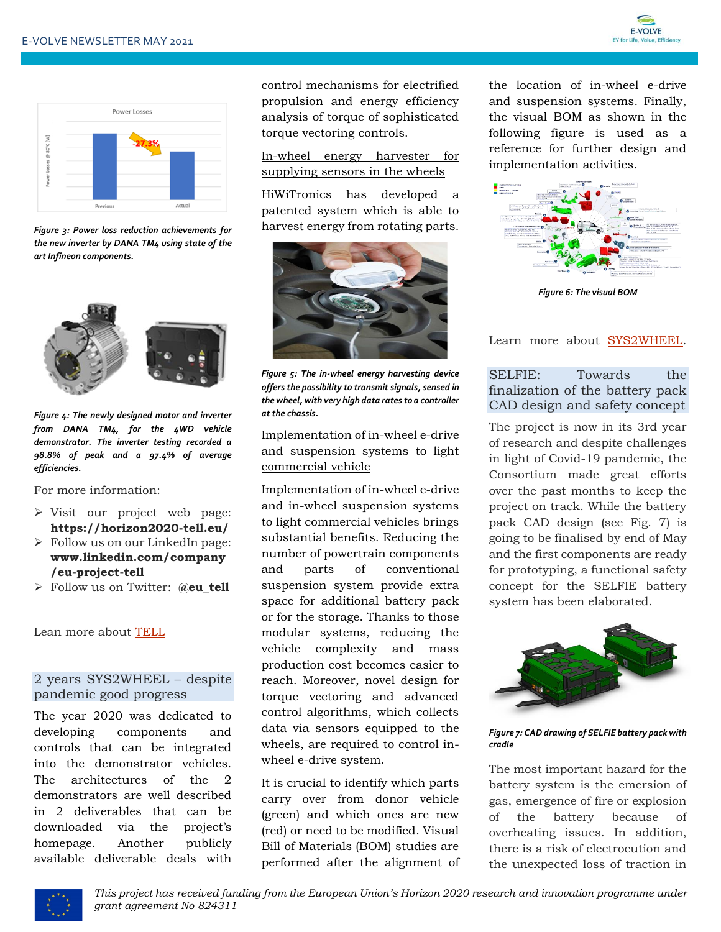



*Figure 3: Power loss reduction achievements for the new inverter by DANA TM4 using state of the art Infineon components.*



*Figure 4: The newly designed motor and inverter from DANA TM4, for the 4WD vehicle demonstrator. The inverter testing recorded a 98.8% of peak and a 97.4% of average efficiencies.*

For more information:

- ➢ Visit our project web page: **https://horizon2020-tell.eu/**
- ➢ Follow us on our LinkedIn page: **www.linkedin.com/company /eu-project-tell**
- ➢ Follow us on Twitter: **@eu\_tell**

Lean more about [TELL](https://www.h2020-evolvecluster.eu/tell-h2020-project)

#### 2 years SYS2WHEEL – despite pandemic good progress

The year 2020 was dedicated to developing components and controls that can be integrated into the demonstrator vehicles. The architectures of the 2 demonstrators are well described in 2 deliverables that can be downloaded via the project's homepage. Another publicly available deliverable deals with control mechanisms for electrified propulsion and energy efficiency analysis of torque of sophisticated torque vectoring controls.

#### In-wheel energy harvester for supplying sensors in the wheels

HiWiTronics has developed a patented system which is able to harvest energy from rotating parts.



*Figure 5: The in-wheel energy harvesting device offers the possibility to transmit signals, sensed in the wheel, with very high data rates to a controller at the chassis.*

#### Implementation of in-wheel e-drive and suspension systems to light commercial vehicle

Implementation of in-wheel e-drive and in-wheel suspension systems to light commercial vehicles brings substantial benefits. Reducing the number of powertrain components and parts of conventional suspension system provide extra space for additional battery pack or for the storage. Thanks to those modular systems, reducing the vehicle complexity and mass production cost becomes easier to reach. Moreover, novel design for torque vectoring and advanced control algorithms, which collects data via sensors equipped to the wheels, are required to control inwheel e-drive system.

It is crucial to identify which parts carry over from donor vehicle (green) and which ones are new (red) or need to be modified. Visual Bill of Materials (BOM) studies are performed after the alignment of

the location of in-wheel e-drive and suspension systems. Finally, the visual BOM as shown in the following figure is used as a reference for further design and implementation activities.



*Figure 6: The visual BOM*

Learn more about [SYS2WHEEL.](https://sys2wheel.eu/)

#### SELFIE: Towards the finalization of the battery pack CAD design and safety concept

The project is now in its 3rd year of research and despite challenges in light of Covid-19 pandemic, the Consortium made great efforts over the past months to keep the project on track. While the battery pack CAD design (see Fig. 7) is going to be finalised by end of May and the first components are ready for prototyping, a functional safety concept for the SELFIE battery system has been elaborated.



*Figure 7: CAD drawing of SELFIE battery pack with cradle*

The most important hazard for the battery system is the emersion of gas, emergence of fire or explosion of the battery because of overheating issues. In addition, there is a risk of electrocution and the unexpected loss of traction in

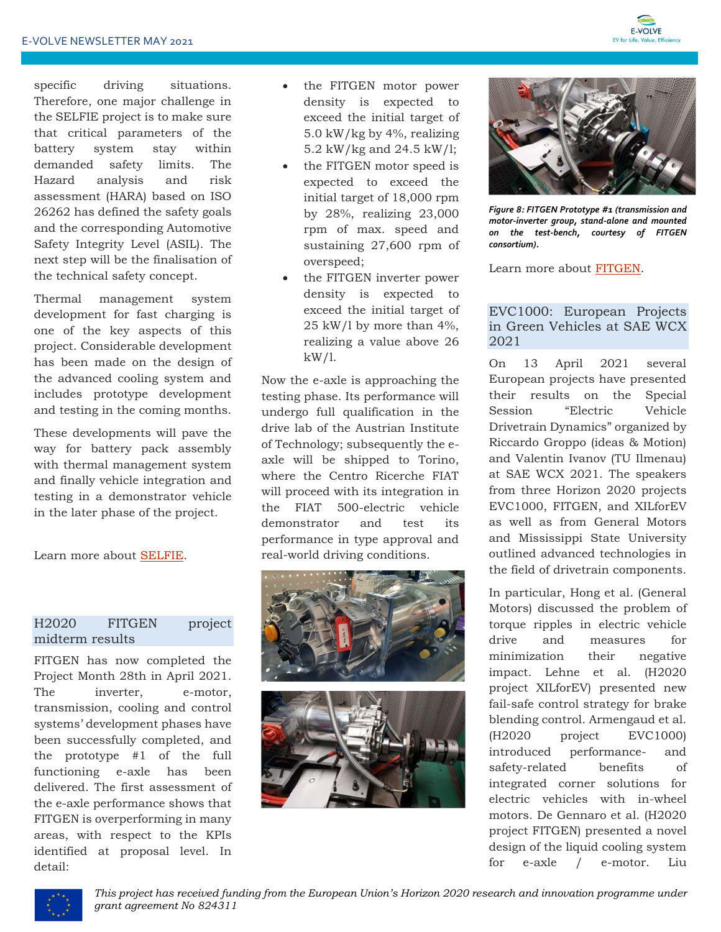

specific driving situations. Therefore, one major challenge in the SELFIE project is to make sure that critical parameters of the battery system stay within demanded safety limits. The Hazard analysis and risk assessment (HARA) based on ISO 26262 has defined the safety goals and the corresponding Automotive Safety Integrity Level (ASIL). The next step will be the finalisation of the technical safety concept.

Thermal management system development for fast charging is one of the key aspects of this project. Considerable development has been made on the design of the advanced cooling system and includes prototype development and testing in the coming months.

These developments will pave the way for battery pack assembly with thermal management system and finally vehicle integration and testing in a demonstrator vehicle in the later phase of the project.

Learn more about [SELFIE.](https://eu-project-selfie.eu/)

#### H2020 FITGEN project midterm results

FITGEN has now completed the Project Month 28th in April 2021. The inverter, e-motor, transmission, cooling and control systems' development phases have been successfully completed, and the prototype #1 of the full functioning e-axle has been delivered. The first assessment of the e-axle performance shows that FITGEN is overperforming in many areas, with respect to the KPIs identified at proposal level. In detail:

- the FITGEN motor power density is expected to exceed the initial target of 5.0 kW/kg by 4%, realizing 5.2 kW/kg and 24.5 kW/l;
- the FITGEN motor speed is expected to exceed the initial target of 18,000 rpm by 28%, realizing 23,000 rpm of max. speed and sustaining 27,600 rpm of overspeed;
- the FITGEN inverter power density is expected to exceed the initial target of 25 kW/l by more than 4%, realizing a value above 26  $kW/1$ .

Now the e-axle is approaching the testing phase. Its performance will undergo full qualification in the drive lab of the Austrian Institute of Technology; subsequently the eaxle will be shipped to Torino, where the Centro Ricerche FIAT will proceed with its integration in the FIAT 500-electric vehicle demonstrator and test its performance in type approval and real-world driving conditions.





*Figure 8: FITGEN Prototype #1 (transmission and motor-inverter group, stand-alone and mounted on the test-bench, courtesy of FITGEN consortium).*

Learn more about [FITGEN.](https://www.fitgen-project.eu/)

#### EVC1000: European Projects in Green Vehicles at SAE WCX 2021

On 13 April 2021 several European projects have presented their results on the Special Session "Electric Vehicle Drivetrain Dynamics" organized by Riccardo Groppo (ideas & Motion) and Valentin Ivanov (TU Ilmenau) at SAE WCX 2021. The speakers from three Horizon 2020 projects EVC1000, FITGEN, and XILforEV as well as from General Motors and Mississippi State University outlined advanced technologies in the field of drivetrain components.

In particular, Hong et al. (General Motors) discussed the problem of torque ripples in electric vehicle drive and measures for minimization their negative impact. Lehne et al. (H2020 project XILforEV) presented new fail-safe control strategy for brake blending control. Armengaud et al. (H2020 project EVC1000) introduced performance- and safety-related benefits of integrated corner solutions for electric vehicles with in-wheel motors. De Gennaro et al. (H2020 project FITGEN) presented a novel design of the liquid cooling system for e-axle / e-motor. Liu